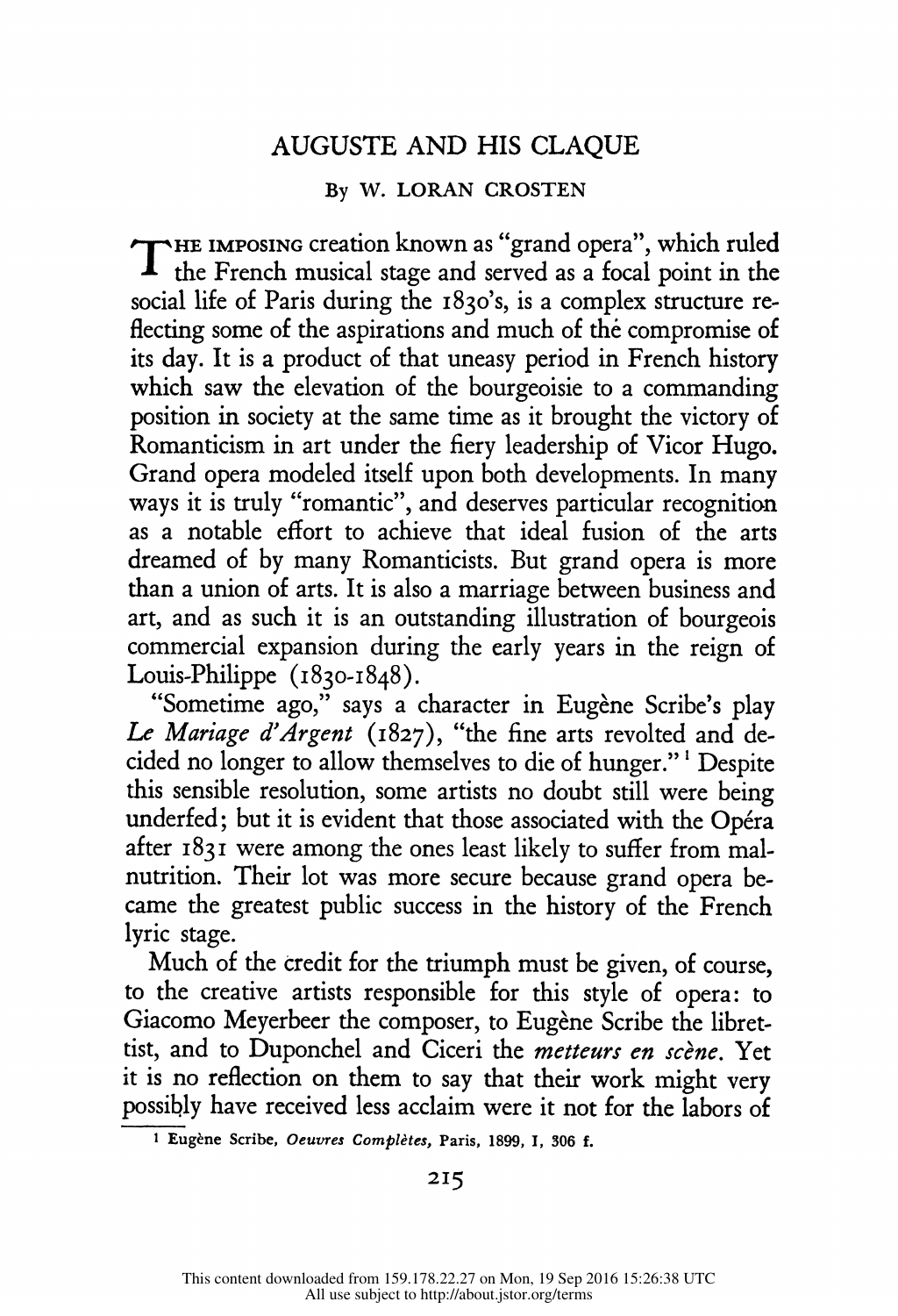## AUGUSTE AND HIS CLAQUE

## By W. LORAN CROSTEN

 HE IMPOSING creation known as "grand opera", which ruled the French musical stage and served as a focal point in the social life of Paris during the 1830's, is a complex structure re flecting some of the aspirations and much of the compromise of its day. It is a product of that uneasy period in French history which saw the elevation of the bourgeoisie to a commanding position in society at the same time as it brought the victory of Romanticism in art under the fiery leadership of Vicor Hugo. Grand opera modeled itself upon both developments. In many ways it is truly "romantic", and deserves particular recognition as a notable effort to achieve that ideal fusion of the arts dreamed of by many Romanticists. But grand opera is more than a union of arts. It is also a marriage between business and art, and as such it is an outstanding illustration of bourgeois commercial expansion during the early years in the reign of Louis-Philippe (1830-1848).

"Sometime ago," says a character in Eugène Scribe's play Le Mariage d'Argent (1827), "the fine arts revolted and de cided no longer to allow themselves to die of hunger." Despite this sensible resolution, some artists no doubt still were being underfed; but it is evident that those associated with the Opéra after I831 were among the ones least likely to suffer from mal nutrition. Their lot was more secure because grand opera be came the greatest public success in the history of the French lyric stage.

 Much of the credit for the triumph must be given, of course, to the creative artists responsible for this style of opera: to Giacomo Meyerbeer the composer, to Eugène Scribe the librettist, and to Duponchel and Ciceri the metteurs en scène. Yet it is no reflection on them to say that their work might very possibly have received less acclaim were it not for the labors of

<sup>1</sup> Eugène Scribe, Oeuvres Complètes, Paris, 1899, I, 306 f.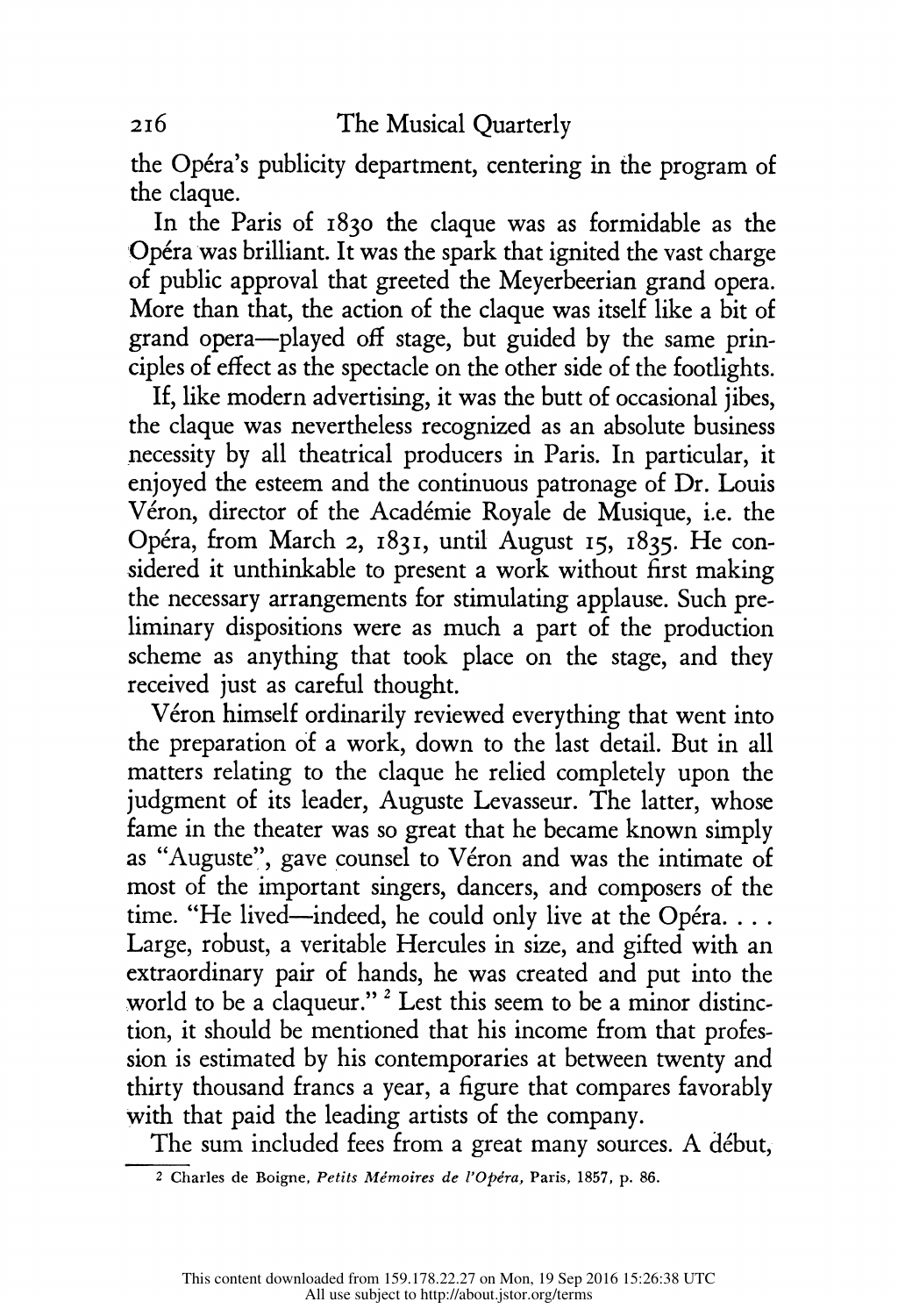the Opera's publicity department, centering in the program of the Opera's publicity department, centering in the program of the claque.

 In the Paris of 1830 the claque was as formidable as the Opera was brilliant. It was the spark that ignited the vast charge of public approval that greeted the Meyerbeerian grand of More than that, the action of the claque was itself like a bit of grand opera-played off stage, but guided by the same prin ciples of effect as the spectacle on the other side of the footlights.

 If, like modern advertising, it was the butt of occasional jibes, the claque was nevertheless recognized as an absolute business necessity by an inequitient producers in Paris. In particular, enjoyed the esteem and the continuous patronage of Dr. Louis Veron, director of the Academie Royale de Musique, i.e. the Opera, from March 2, 1831, until August 15, I835. He con sidered it unthinkable to present a work without first making the necessary arrangements for stimulating applause. Such pre liminary dispositions were as much a part of the production scheme as anything that took place on the stage, and they received just as careful thought. 216<br>the Opéra's publicity<br>the claque.<br>In the Paris of 18<br>Opéra was brilliant. I<br>of public approval th<br>More than that, the s<br>grand opera—played<br>ciples of effect as the s<br>If, like modern adv<br>the claque was never<br>necessity by

Véron himself ordinarily reviewed everything that went into the preparation of a work, down to the last detail. But in all matters relating to the claque he relied completely upon the judgment of its leader, Auguste Levasseur. The latter, whose fame in the theater was so great that he became known simply as "Auguste", gave counsel to Veron and was the intimate of most of the important singers, dancers, and composers of the time. "He lived-indeed, he could only live at the Opéra.... Large, robust, a veritable Hercules in size, and gifted with an extraordinary pair of hands, he was created and put into the world to be a claqueur." 2 Lest this seem to be a minor distinc tion, it should be mentioned that his income from that profes sion is estimated by his contemporaries at between twenty and thirty thousand francs a year, a figure that compares favorably with that paid the leading artists of the company.

The sum included fees from a great many sources. A début,

 $\overline{2}$  Charles de Boigne, Petits Mémoires de l'Opéra, Paris, 1857, p. 86.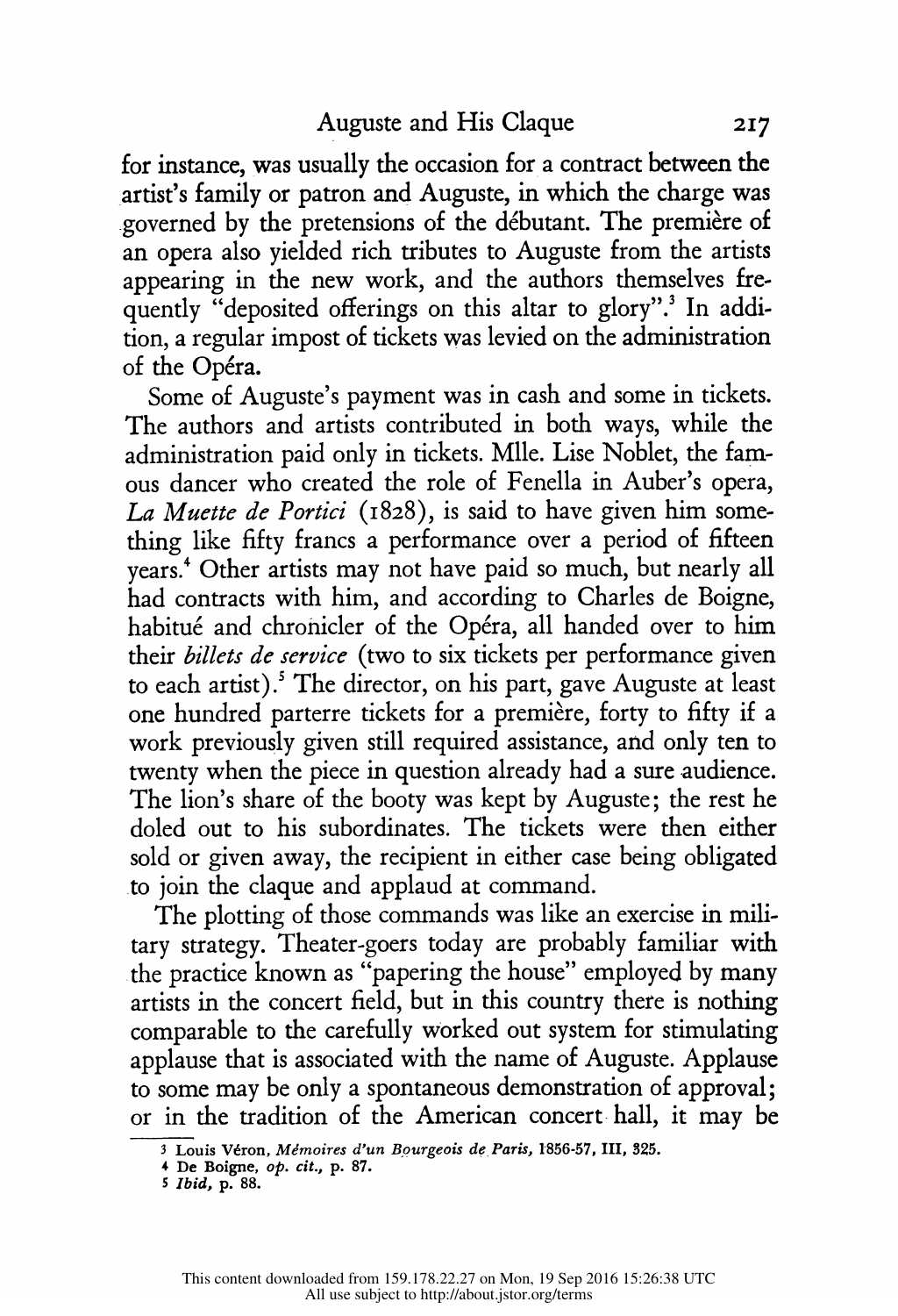for instance, was usually the occasion for a contract between the for instance, was usually the occasion for a contract between the artist's family or patron and Auguste, in which the charge was artist's family or patron and Auguste, in which the charge was governed by the pretensions of the debutant. The premiere of governed by the pretensions of the debutant. The premiere of an opera also yielded rich tributes to Auguste from the artists an opera also yielded rich tributes to Auguste from the artists appearing in the new work, and the authors themselves frequently "deposited offerings on this attar to glory". In addi tion, a regular impost of tickets was levied on the administration tion, a regular impost of tickets was levied on the administration of the Opéra.

 Some of Auguste's payment was in cash and some in tickets. The authors and artists contributed in both ways, while the administration paid only in tickets. Mile. Lise Noblet, the fam ous dancer who created the role of Fenella in Auber's opera, La Muette de Portici (1828), is said to have given him some thing like fifty francs a performance over a period of fifteen years.4 Other artists may not have paid so much, but nearly all had contracts with him, and according to Charles de Boigne, habitué and chronicler of the Opéra, all handed over to him their billets de service (two to six tickets per performance given to each artist).<sup>5</sup> The director, on his part, gave Auguste at least one hundred parterre tickets for a premiere, forty to fifty if a work previously given still required assistance, and only ten to twenty when the piece in question already had a sure audience. The lion's share of the booty was kept by Auguste; the rest he doled out to his subordinates. The tickets were then either sold or given away, the recipient in either case being obligated to join the claque and applaud at command.

 The plotting of those commands was like an exercise in mili tary strategy. Theater-goers today are probably familiar with the practice known as "papering the house" employed by many artists in the concert field, but in this country there is nothing comparable to the carefully worked out system for stimulating applause that is associated with the name of Auguste. Applause to some may be only a spontaneous demonstration of approval; or in the tradition of the American concert hall, it may be

<sup>3</sup> Louis Véron, Mémoires d'un Bourgeois de Paris, 1856-57, III, 325.

 <sup>4</sup> De Boigne, op. cit., p. 87.

 <sup>5</sup> Ibid, p. 88.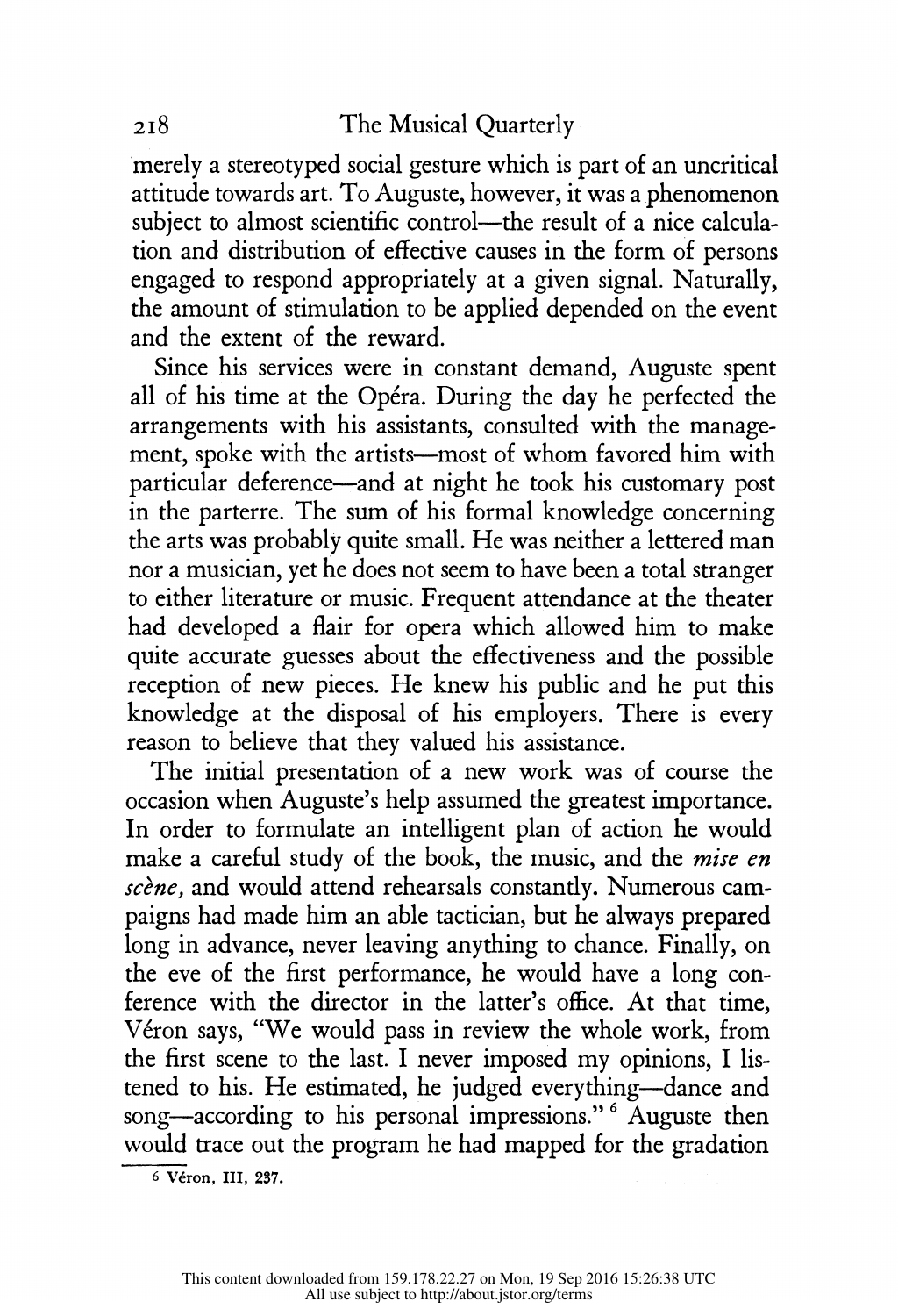merely a stereotyped social gesture which is part of an uncritical attitude towards art. To Auguste, however, it was a phenomenon subject to almost scientific control-the result of a nice calcula tion and distribution of effective causes in the form of persons engaged to respond appropriately at a given signal. Naturally, the amount of stimulation to be applied depended on the event and the extent of the reward.

 Since his services were in constant demand, Auguste spent all of his time at the Opéra. During the day he perfected the arrangements with his assistants, consulted with the manage ment, spoke with the artists-most of whom favored him with particular deference-and at night he took his customary post in the parterre. The sum of his formal knowledge concerning the arts was probably quite small. He was neither a lettered man nor a musician, yet he does not seem to have been a total stranger to either literature or music. Frequent attendance at the theater had developed a flair for opera which allowed him to make quite accurate guesses about the effectiveness and the possible reception of new pieces. He knew his public and he put this knowledge at the disposal of his employers. There is every reason to believe that they valued his assistance.

 The initial presentation of a new work was of course the occasion when Auguste's help assumed the greatest importance. In order to formulate an intelligent plan of action he would make a careful study of the book, the music, and the *mise en* scène, and would attend rehearsals constantly. Numerous cam paigns had made him an able tactician, but he always prepared long in advance, never leaving anything to chance. Finally, on the eve of the first performance, he would have a long con ference with the director in the latter's office. At that time, Véron says, "We would pass in review the whole work, from the first scene to the last. I never imposed my opinions, I lis tened to his. He estimated, he judged everything--dance and song—according to his personal impressions."<sup>6</sup> Auguste then would trace out the program he had mapped for the gradation

 $6$  Véron, III, 237.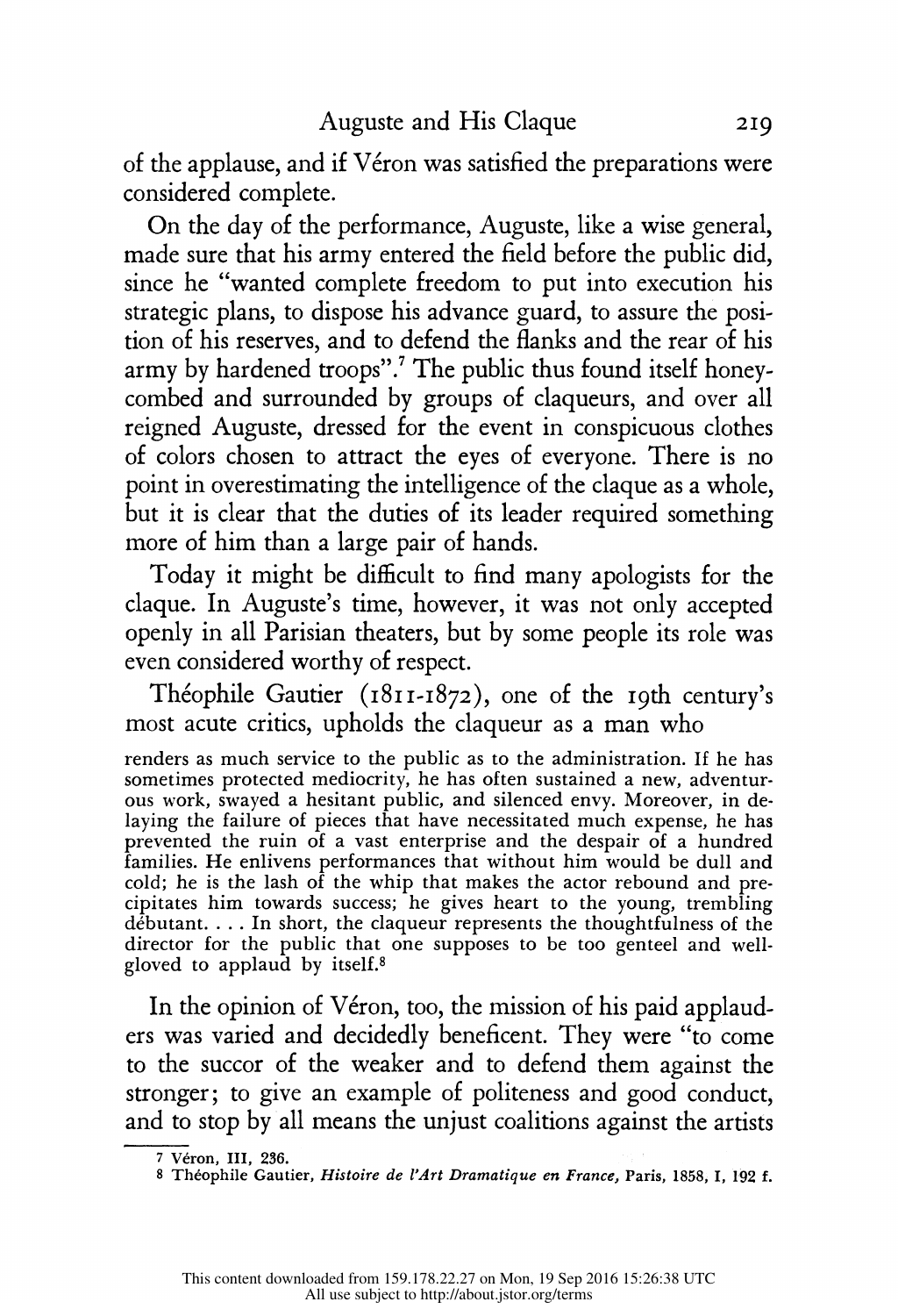of the applause, and if veron was satisfied the preparations were considered complete. considered complete.

 On the day of the performance, Auguste, like a wise general, On the day of the performance, Auguste, like a wise general, made sure that his army entered the field before the public did, made sure that his army entered the field before the public did, since he "wanted complete freedom to put into execution his since he "wanted complete freedom to put into execution his strategic plans, to dispose his advance guard, to assure the posi tion of his reserves, and to defend the flanks and the rear of his tion of his reserves, and to defend the flanks and the rear of his army by hardened troops". The public thus found itself honey combed and surrounded by groups of claqueurs, and over all combed and surrounded by groups of claqueurs, and over all reigned Auguste, dressed for the event in conspicuous clothes reigned Auguste, dressed for the event in conspicuous clothes of colors chosen to attract the eyes of everyone. There is no point in overestimating the intelligence of the claque as a whole, point in overestimating the intelligence of the claque as a whole, but it is clear that the duties of its leader required something but it is clear that the duties of its leader required something more of him than a large pair of hands. more of him than a large pair of hands.

 Today it might be difficult to find many apologists for the Today it might be difficult to find many apologists for the claque. In Auguste's time, however, it was not only accepted claque. In Auguste's time, however, it was not only accepted openly in all Parisian theaters, but by some people its role was openly in all Parisian theaters, but by some people its role was even considered worthy of respect.

I heophile Gautier  $(1811-1872)$ , one of the Igth century's most acute critics, upholds the claqueur as a man who

renders as much service to the public as to the administration. If he has sometimes protected mediocrity, he has often sustained a new, adventurous work, swayed a hesitant public, and silenced envy. Moreover, in de laying the failure of pieces that have necessitated much expense, he has laying the failure of pieces that have necessitated much expense, he has prevented the ruin of a vast enterprise and the despair of a hundred prevented the ruin of a vast enterprise and the despair of a hundred families. He enlivens performances that without him would be dull and families. He enlivens performances that without him would be dull and cold; he is the lash of the whip that makes the actor rebound and pre- cold; he is the lash of the whip that makes the actor rebound and pre cipitates him towards success; he gives heart to the young, trembling cipitates him towards success; he gives heart to the young, trembling debutant.... In short, the claqueur represents the thoughtfulness of the debutant.... In short, the claqueur represents the thoughtfulness of the director for the public that one supposes to be too genteel and well- director for the public that one supposes to be too genteel and well gloved to applaud by itself.8 gloved to applaud by itself.8

 In the opinion of Veron, too, the mission of his paid applaud- In the opinion of Veron, too, the mission of his paid applaud ers was varied and decidedly beneficent. They were "to come to the succor of the weaker and to defend them against the stronger; to give an example of politeness and good conduct, and to stop by all means the unjust coalitions against the artists and to stop by all means the unjust coalitions against the artists

 <sup>7</sup> Veron, III, 236.

<sup>8</sup> Théophile Gautier, Histoire de l'Art Dramatique en France, Paris, 1858, I, 192 f.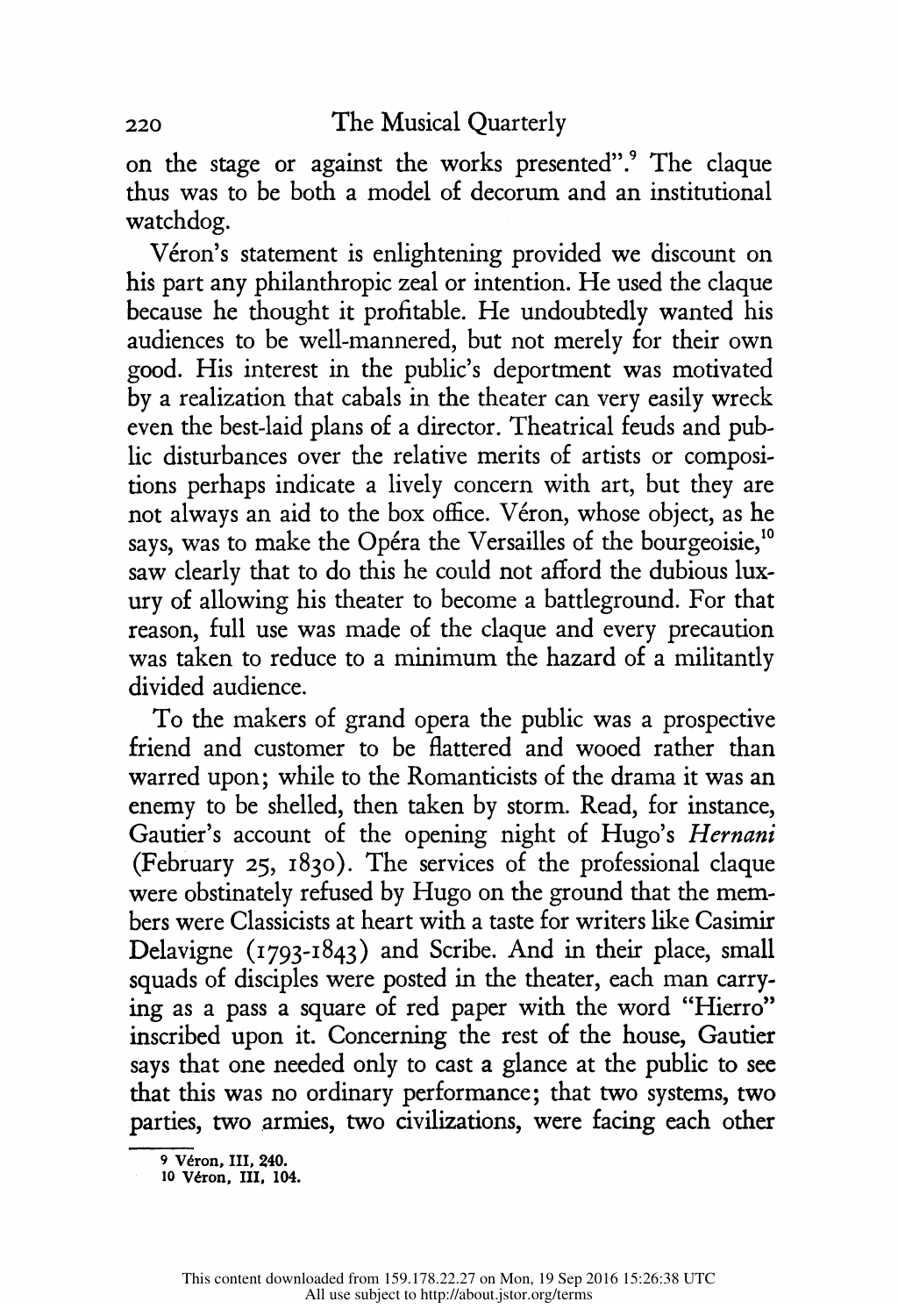on the stage or against the works presented". The claque thus was to be both a model of decorum and an institutional thus was to be both a model of decorum and an institutional watchdog.

Véron's statement is enlightening provided we discount on his part any philanthropic zeal or intention. He used the claque because he thought it profitable. He undoubtedly wanted his audiences to be well-mannered, but not merely for their own good. His interest in the public's deportment was motivated by a realization that cabals in the theater can very easily wreck even the best-laid plans of a director. Theatrical feuds and pub lic disturbances over the relative merits of artists or composi tions perhaps indicate a lively concern with art, but they are not always an aid to the box office. Veron, whose object, as he says, was to make the Opéra the Versailles of the bourgeoisie,<sup>10</sup> saw clearly that to do this he could not afford the dubious lux ury of allowing his theater to become a battleground. For that reason, full use was made of the claque and every precaution was taken to reduce to a minimum the hazard of a militantly divided audience.

 To the makers of grand opera the public was a prospective friend and customer to be flattered and wooed rather than warred upon; while to the Romanticists of the drama it was an enemy to be shelled, then taken by storm. Read, for instance, Gautier's account of the opening night of Hugo's Hernani (February 25, I830). The services of the professional claque were obstinately refused by Hugo on the ground that the mem bers were Classicists at heart with a taste for writers like Casimir Delavigne (I793-1843) and Scribe. And in their place, small squads of disciples were posted in the theater, each man carry ing as a pass a square of red paper with the word "Hierro" inscribed upon it. Concerning the rest of the house, Gautier says that one needed only to cast a glance at the public to see that this was no ordinary performance; that two systems, two parties, two armies, two civilizations, were facing each other

<sup>9</sup> Véron, III, 240.

<sup>10</sup> Véron, III, 104.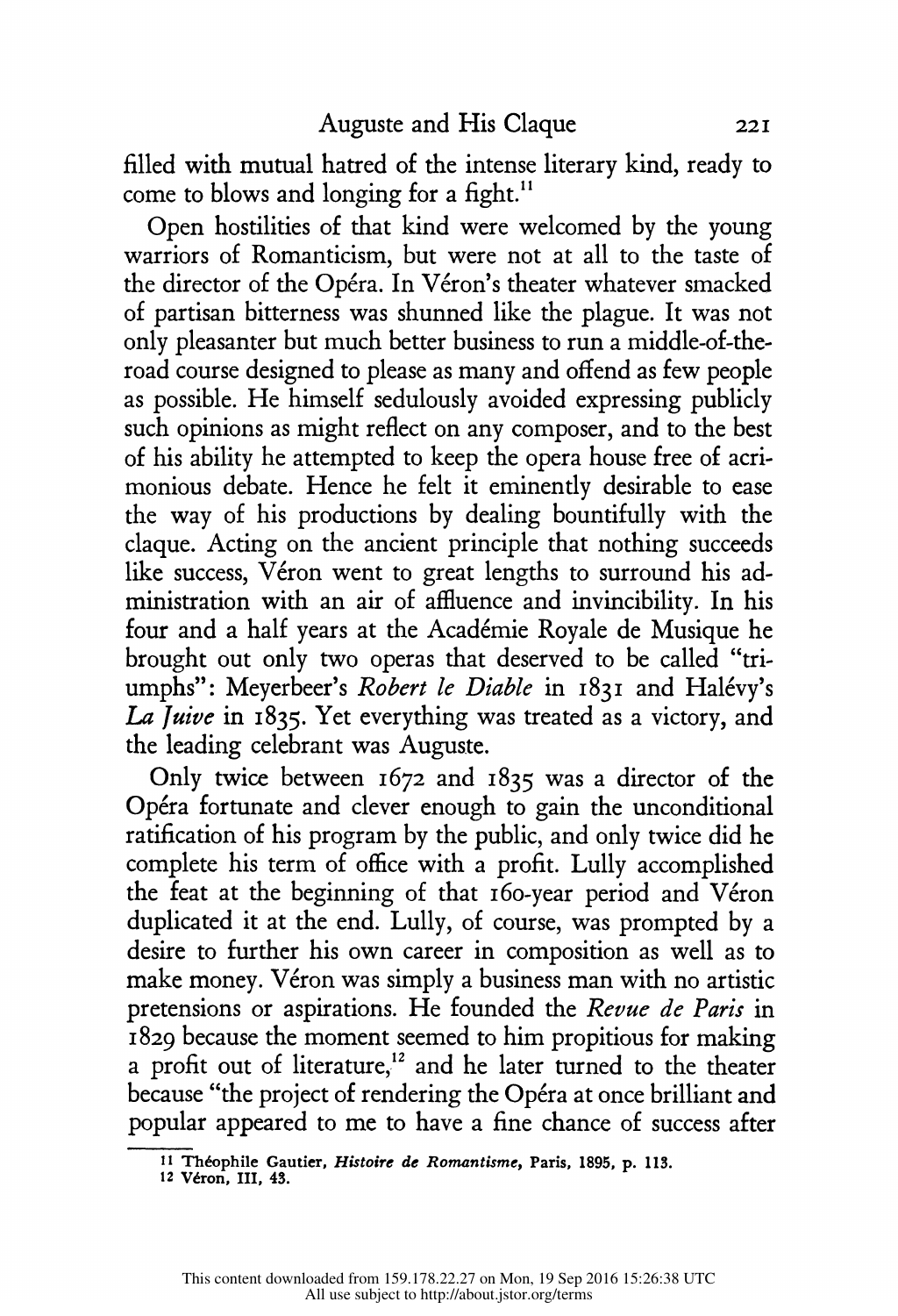filled with mutual hatred of the intense literary kind, ready to filled with mutual hatred of the intense literary kind, ready to 22I come to blows and longing for a fight.

 Open hostilities of that kind were welcomed by the young Open hostilities of that kind were welcomed by the young warriors of Romanticism, but were not at all to the taste of warriors of Romanticism, but were not at all to the taste of the director of the Opera. In Veron's theater whatever smacked the director of the Opera. In Veron's theater whatever smacked of partisan bitterness was shunned like the plague. It was not only pleasanter but much better business to run a middle-of-the- only pleasanter but much better business to run a middle-of-the road course designed to please as many and offend as few people road course designed to please as many and offend as few people as possible. He himself sedulously avoided expressing publicly as possible. He himself sedulously avoided expressing publicly such opinions as inight reflect on any composer, and to the best of his ability he attempted to keep the opera house free of acri- of his ability he attempted to keep the opera house free of acri monious debate. Hence he felt it eminently desirable to ease monious debate. Hence he felt it eminently desirable to ease the way of his productions by dealing bountifully with the the way of his productions by dealing bountifully with the claque. Acting on the ancient principle that nothing succeeds claque. Acting on the ancient principle that nothing succeeds like success, Veron went to great lengths to surround his ad- like success, Veron went to great lengths to surround his ad ministration with an air of affluence and invincibility. In his four and a half years at the Academie Royale de Musique he brought out only two operas that deserved to be called "tri- brought out only two operas that deserved to be called "tri umphs": Meyerbeer's Robert le Diable in i831 and Halevy's umphs": Meyerbeer's Robert le Diable in i831 and Halevy's La Juive in 1835. Iet everything was treated as a victory, and the leading celebrant was Auguste. the leading celebrant was Auguste.

 Only twice between I672 and 1835 was a director of the Only twice between I672 and 1835 was a director of the Opera fortunate and clever enough to gain the unconditional Opera fortunate and clever enough to gain the unconditional ratification of his program by the public, and only twice did he complete his term of office with a profit. Lully accomplished complete his term of office with a profit. Lully accomplished the feat at the beginning of that I6o-year period and Veron the feat at the beginning of that I6o-year period and Veron duplicated it at the end. Lully, of course, was prompted by a duplicated it at the end. Lully, of course, was prompted by a desire to further his own career in composition as well as to make money. Veron was simply a business man with no artistic make money. Veron was simply a business man with no artistic pretensions or aspirations. He founded the Revue de Paris in pretensions or aspirations. He founded the Revue de Paris in I829 because the moment seemed to him propitious for making I829 because the moment seemed to him propitious for making a profit out of literature, and he later turned to the theater because "the project of rendering the Opera at once brilliant and because "the project of rendering the Opera at once brilliant and popular appeared to me to have a fine chance of success after popular appeared to me to have a fine chance of success after

<sup>&</sup>lt;sup>11</sup> Theophile Gautier, *Histoire de Romantisme*, Paris, 1895, p. 113.<br>11 Niceae III de

<sup>12</sup> Véron, III, 43.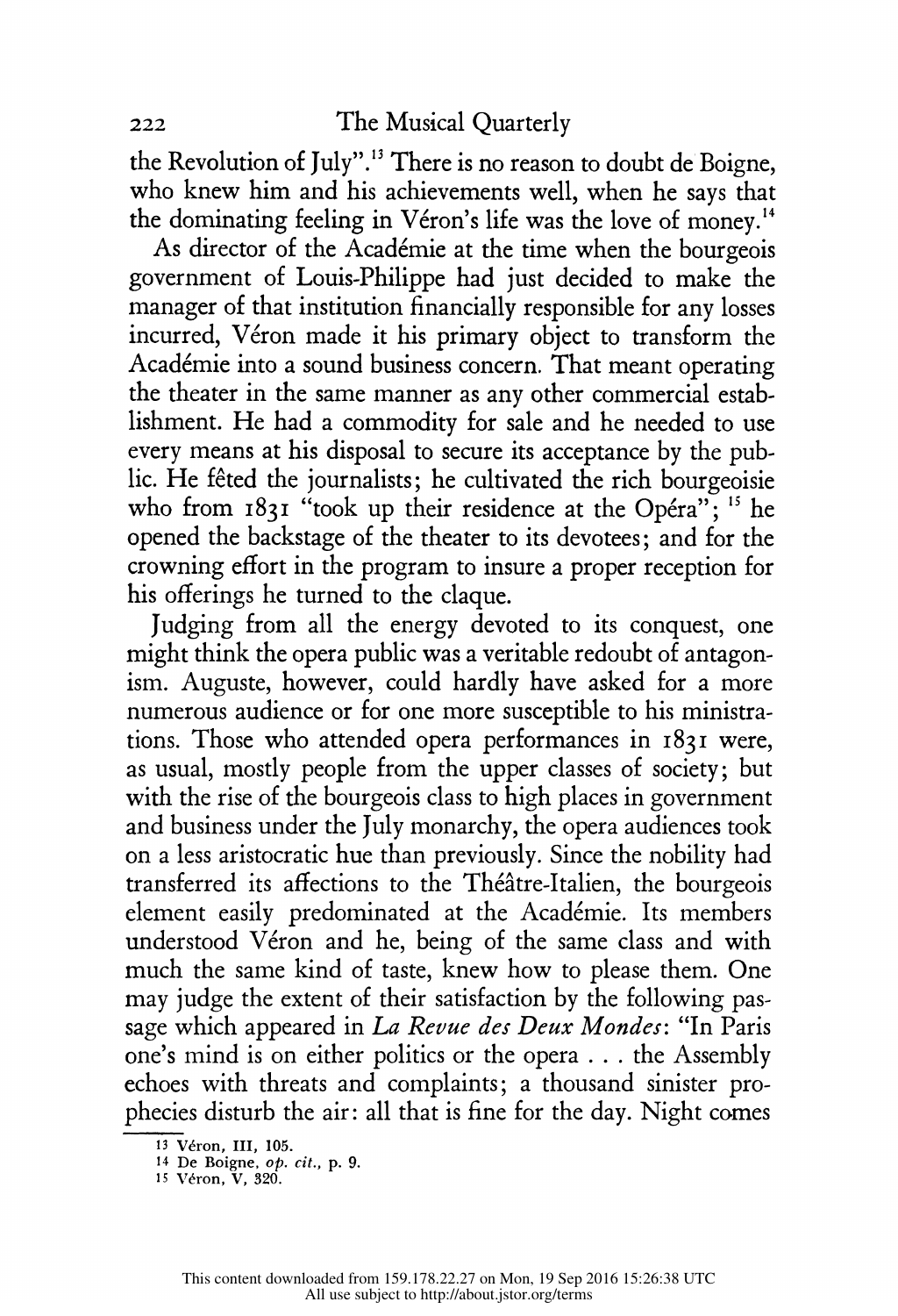the Revolution of July". I here is no reason to doubt de Boigne, who knew him and his achievements well, when he says that the dominating feeling in Veron's life was the love of money.

As director of the Academie at the time when the bourgeois government of Louis-Philippe had just decided to make the government of Louis-Philippe had just decided to make the manager of that institution financially responsible for any losses manager of that institution financially responsible for any losses incurred, Veron made it his primary object to transform the incurred, Veron made it his primary object to transform the Academie into a sound business concern. That meant operating Academie into a sound business concern. That meant operating the theater in the same manner as any other commercial estab- the theater in the same manner as any other commercial estab lishment. He had a commodity for sale and he needed to use lishment. He had a commodity for sale and he needed to use every means at his disposal to secure its acceptance by the pub lic. He feted the journalists; he cultivated the rich bourgeoisie lic. He feted the journalists; he cultivated the rich bourgeoisie who from 1831 "took up their residence at the Opera"; " he opened the backstage of the theater to its devotees; and for the opened the backstage of the theater to its devotees; and for the crowning effort in the program to insure a proper reception for crowning effort in the program to insure a proper reception for his offerings he turned to the claque. tions. Those who attended opera performances in i83I were,<sup>222</sup>

 Judging from all the energy devoted to its conquest, one Judging from all the energy devoted to its conquest, one might think the opera public was a veritable redoubt of antagon- might think the opera public was a veritable redoubt of antagon ism. Auguste, however, could hardly have asked for a more numerous audience or for one more susceptible to his ministra- numerous audience or for one more susceptible to his ministra tions. Those who attended opera performances in i83I were, tions. Those who attended opera performances in i83I were, as usual, mostly people from the upper classes of society; but as usual, mostly people from the upper classes of society; but with the rise of the bourgeois class to high places in government with the rise of the bourgeois class to high places in government and business under the July monarchy, the opera audiences took and business under the July monarchy, the opera audiences took on a less aristocratic hue than previously. Since the nobility had transferred its affections to the Theatre-Italien, the bourgeois transferred its affections to the Theatre-Italien, the bourgeois element easily predominated at the Academie. Its members element easily predominated at the Academie. Its members understood Veron and he, being of the same class and with understood Veron and he, being of the same class and with much the same kind of taste, knew how to please them. One may judge the extent of their satisfaction by the following pas- may judge the extent of their satisfaction by the following pas sage which appeared in *La Revue des Deux Mondes*: "In Paris one's mind is on either politics or the opera . . . the Assembly echoes with threats and complaints; a thousand sinister prophecies disturb the air: all that is fine for the day. Night comes phecies disturb the air: all that is fine for the day. Night comes

<sup>13</sup> Véron, III, 105.

<sup>14</sup> De Boigne, *op. cit.*, p. 9.<br>15 Véron, V, 320.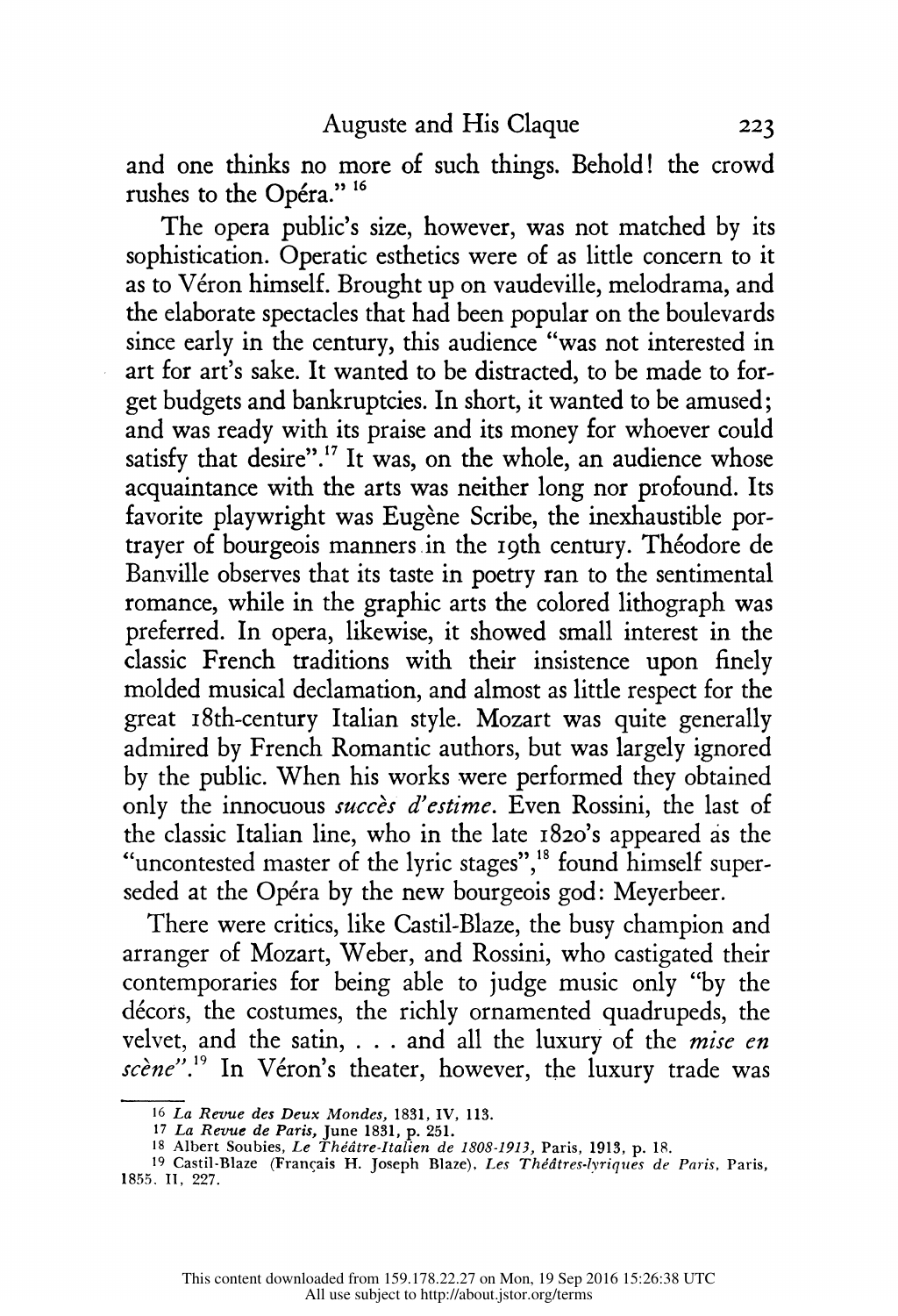and one thinks no more of such things. Behold! the crowd rushes to the Opera." "

 The opera public's size, however, was not matched by its The opera public's size, however, was not matched by its sophistication. Operatic esthetics were of as little concern to it as to Veron himself. Brought up on vaudeville, melodrama, and as to Veron himself. Brought up on vaudeville, melodrama, and the elaborate spectacles that had been popular on the boulevards since early in the century, this audience "was not interested in art for art's sake. It wanted to be distracted, to be made to for- art for art's sake. It wanted to be distracted, to be made to for get budgets and bankruptcies. In short, it wanted to be amused; get budgets and bankruptcies. In short, it wanted to be amused; and was ready with its praise and its money for whoever could and was ready with its praise and its money for whoever could satisfy that desire"." It was, on the whole, an audience whose acquaintance with the arts was neither long nor profound. Its acquaintance with the arts was neither long nor profound. Its favorite playwright was Eugene Scribe, the inexhaustible por- favorite playwright was Eugene Scribe, the inexhaustible por trayer of bourgeois manners in the 19th century. Theodore de Banville observes that its taste in poetry ran to the sentimental Banville observes that its taste in poetry ran to the sentimental romance, while in the graphic arts the colored lithograph was preferred. In opera, likewise, it showed small interest in the preferred. In opera, likewise, it showed small interest in the classic French traditions with their insistence upon finely classic French traditions with their insistence upon finely molded musical declamation, and almost as little respect for the great I8th-century Italian style. Mozart was quite generally great I8th-century Italian style. Mozart was quite generally admired by French Romantic authors, but was largely ignored admired by French Romantic authors, but was largely ignored by the public. When his works were performed they obtained by the public. When his works were performed they obtained only the innocuous *succès d'estime*. Even Rossini, the last of the classic Italian line, who in the late I820's appeared as the the classic Italian line, who in the late I820's appeared as the "uncontested master of the lyric stages"," found himself superseded at the Opéra by the new bourgeois god: Meyerbeer.

 There were critics, like Castil-Blaze, the busy champion and There were critics, like Castil-Blaze, the busy champion and arranger of Mozart, Weber, and Rossini, who castigated their arranger of Mozart, Weber, and Rossini, who castigated their contemporaries for being able to judge music only "by the contemporaries for being able to judge music only "by the decors, the costumes, the richly ornamented quadrupeds, the decors, the costumes, the richly ornamented quadrupeds, the velvet, and the satin, . . . and all the luxury of the *mise en* scène".<sup>1</sup> In Véron's theater, however, the luxury trade was

 <sup>16</sup> La Revue des Deux Mondes, 1831, IV, 113.

 <sup>17</sup> La Revue de Paris, June 1831, p. 251.

<sup>&</sup>lt;sup>18</sup> Albert Soubies, *Le Theatre-Italien de 1808-1913*, Paris, 1913, p. 18.

<sup>19</sup> Castil-Blaze (Français H. Joseph Blaze), Les Théâtres-lyriques de Paris, Paris, 1855. II, 227.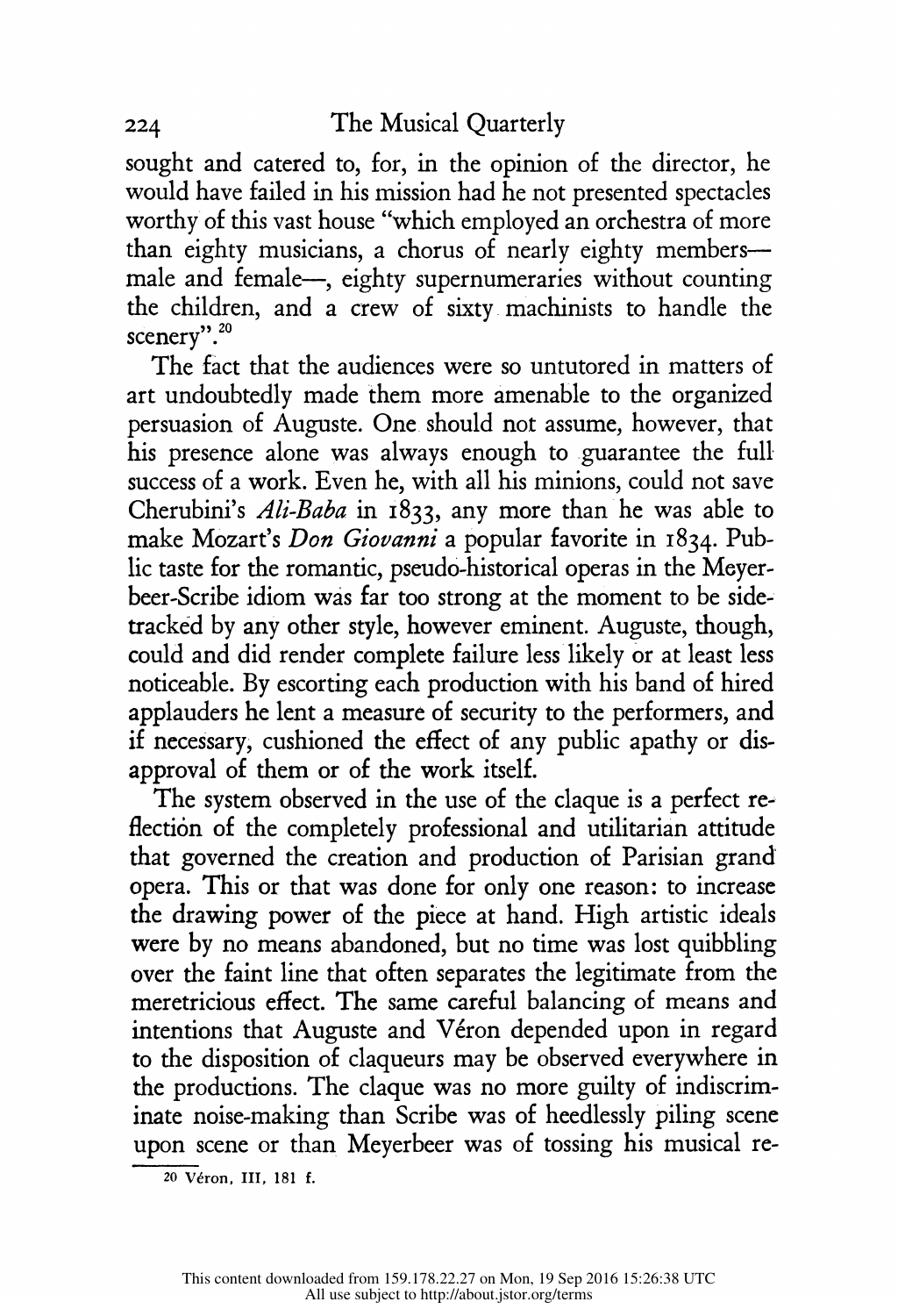sought and catered to, for, in the opinion of the director, he would have failed in his mission had he not presented spectacles would have failed in his mission had he not presented spectacles worthy of this vast house "which employed an orchestra of more worthy of this vast house "which employed an orchestra of more than eighty musicians, a chorus of nearly eighty members male and female-, eighty supernumeraries without counting male and female-, eighty supernumeraries without counting the children, and a crew of sixty machinists to handle the the children, and a crew of sixty machinists to handle the scenery".<sup>20</sup>

 The fact that the audiences were so untutored in matters of art undoubtedly made them more amenable to the organized persuasion of Auguste. One should not assume, however, that his presence alone was always enough to guarantee the full success of a work. Even he, with all his minions, could not save Cherubini's Ali-Baba in I833, any more than he was able to make Mozart's Don Giovanni a popular favorite in I834. Pub lic taste for the romantic, pseudo-historical operas in the Meyer beer-Scribe idiom was far too strong at the moment to be side tracked by any other style, however eminent. Auguste, though, could and did render complete failure less likely or at least less noticeable. By escorting each production with his band of hired applauders he lent a measure of security to the performers, and if necessary, cushioned the effect of any public apathy or dis approval of them or of the work itself.

 The system observed in the use of the claque is a perfect re flection of the completely professional and utilitarian attitude that governed the creation and production of Parisian grand opera. This or that was done for only one reason: to increase the drawing power of the piece at hand. High artistic ideals were by no means abandoned, but no time was lost quibbling over the faint line that often separates the legitimate from the meretricious effect. The same careful balancing of means and intentions that Auguste and Véron depended upon in regard to the disposition of claqueurs may be observed everywhere in the productions. The claque was no more guilty of indiscrim inate noise-making than Scribe was of heedlessly piling scene upon scene or than Meyerbeer was of tossing his musical re-

 $20$  Véron, III, 181 f.

224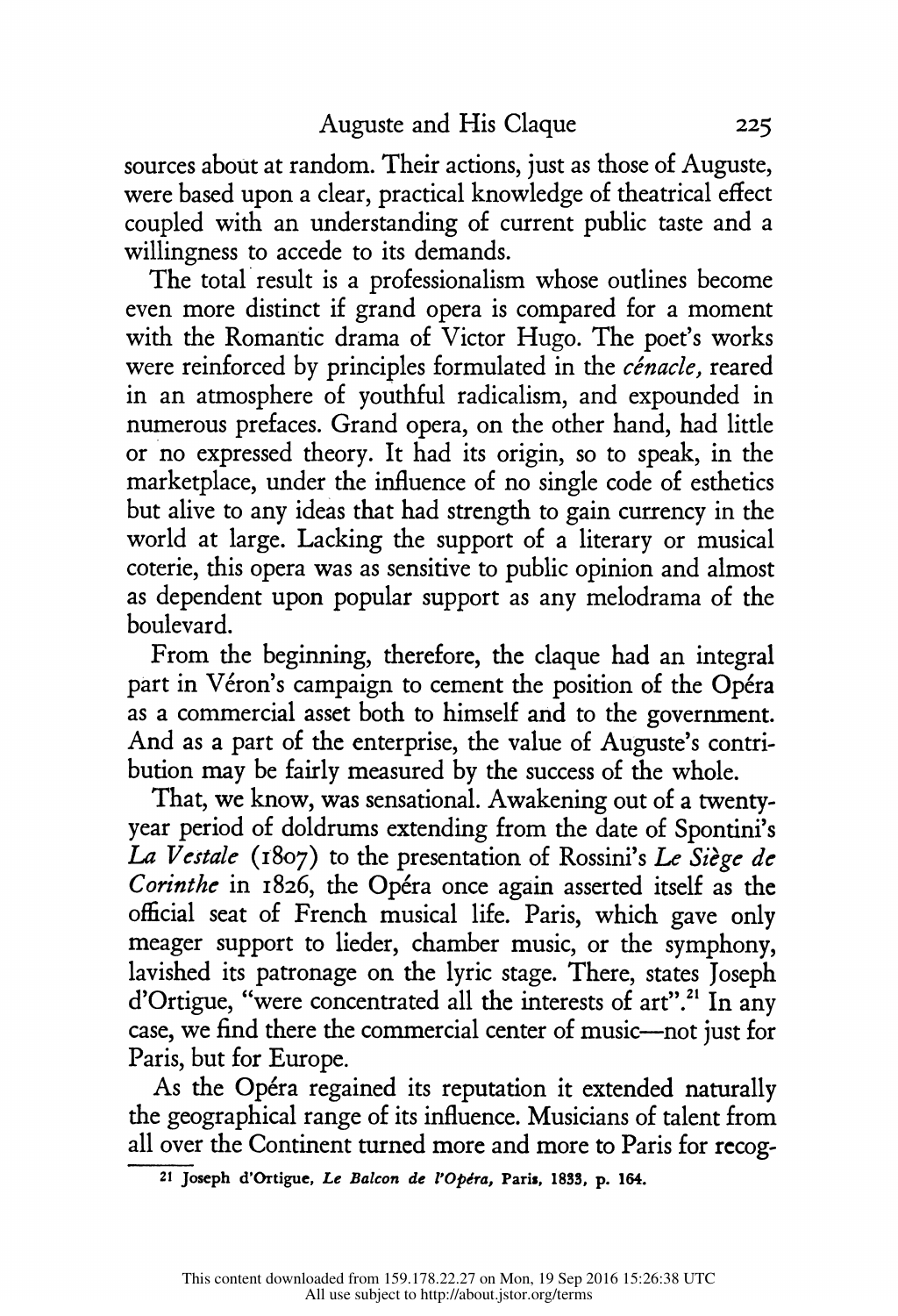sources about at random. Their actions, just as those of August were based upon a clear, practical knowledge of theatrical effective coupled with an understanding of current public taste and a coupled with an understanding of current public taste and a willingness to accede to its demands. willingness to accede to its demands.

 The total result is a professionalism whose outlines become The total result is a professionalism whose outlines become even more distinct if grand opera is compared for a moment even more distinct if grand opera is compared for a moment with the Romantic drama of Victor Hugo. The poet's works were reinforced by principles formulated in the *cenacle*, reared in an atmosphere of youthful radicalism, and expounded in in an atmosphere of youthful radicalism, and expounded in numerous prefaces. Grand opera, on the other hand, had little numerous prefaces. Grand opera, on the other hand, had little or no expressed theory. It had its origin, so to speak, in the or no expressed theory. It had its origin, so to speak, in the marketplace, under the influence of no single code of esthetics marketplace, under the influence of no single code of esthetics but alive to any ideas that had strength to gain currency in the but alive to any ideas that had strength to gain currency in the world at large. Lacking the support of a literary or musical world at large. Lacking the support of a literary or musical coterie, this opera was as sensitive to public opinion and almost coterie, this opera was as sensitive to public opinion and almost as dependent upon popular support as any melodrama of the boulevard.

 From the beginning, therefore, the claque had an integral part in Véron's campaign to cement the position of the Opéra as a commercial asset both to himself and to the government. And as a part of the enterprise, the value of Auguste's contri bution may be fairly measured by the success of the whole.

 That, we know, was sensational. Awakening out of a twenty year period of doldrums extending from the date of Spontini's La Vestale ( $1807$ ) to the presentation of Rossini's Le Siège de Corinthe in 1826, the Opéra once again asserted itself as the official seat of French musical life. Paris, which gave only meager support to lieder, chamber music, or the symphony, lavished its patronage on the lyric stage. There, states Joseph d'Ortigue, "were concentrated all the interests of art".<sup>21</sup> In any case, we find there the commercial center of music-not just for Paris, but for Europe.

As the Opéra regained its reputation it extended naturally the geographical range of its influence. Musicians of talent from all over the Continent turned more and more to Paris for recog-

 <sup>21</sup> Joseph d'Ortigue, Le Balcon de l'Opera, Paris, 1833, p. 164.